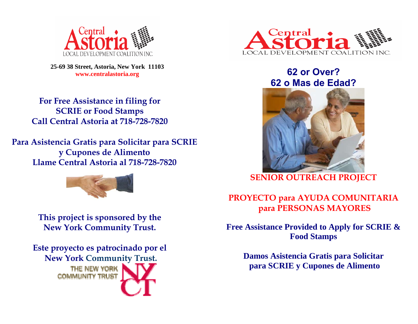

**25-69 38 Street, Astoria, New York 11103 www.centralastoria.org** 

**For Free Assistance in filing for SCRIE or Food Stamps Call Central Astoria at 718-728-7820** 

**Para Asistencia Gratis para Solicitar para SCRIE y Cupones de Alimento Llame Central Astoria al 718-728-7820** 



**This project is sponsored by the New York Community Trust.** 

**Este proyecto es patrocinado por el New York Community Trust.**  THE NEW YORK **COMMUNITY TRUST** 



# **62 or Over? 62 o Mas de Edad?**



**SENIOR OUTREACH PROJECT** 

## **PROYECTO para AYUDA COMUNITARIA para PERSONAS MAYORES**

**Free Assistance Provided to Apply for SCRIE & Food Stamps** 

**Damos Asistencia Gratis para Solicitar para SCRIE y Cupones de Alimento**